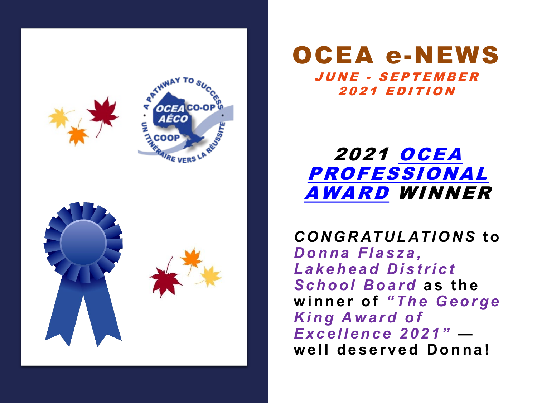

### OCEA e-NEWS JUNE - SEPTEMBER 2021 EDITION

### 2021 OCEA [PROFESSIONAL](https://ocea.on.ca/awards/)  AWARD WINNER

*CONGRATULATIONS* **to**  *Donna Flasza , Lakehead District School Board* **as the winner of** *"The George King Award of Excellence 2021"*  **well deserved Donna!**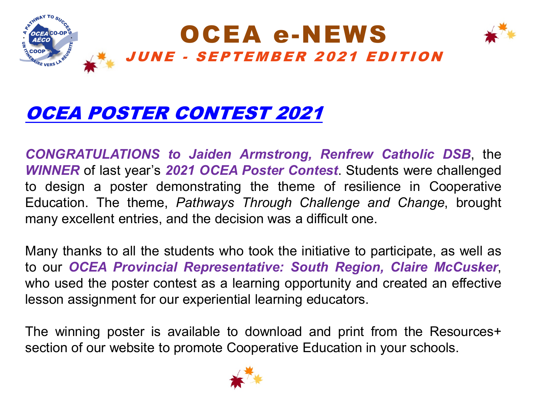

## OCEA POSTER [CONTEST](https://ocea.on.ca/news/ViewOneBooking/?id=3) 2021

*CONGRATULATIONS to Jaiden Armstrong, Renfrew Catholic DSB*, the *WINNER* of last year's *2021 OCEA Poster Contest*. Students were challenged to design a poster demonstrating the theme of resilience in Cooperative Education. The theme, *Pathways Through Challenge and Change*, brought many excellent entries, and the decision was a difficult one.

Many thanks to all the students who took the initiative to participate, as well as to our *OCEA Provincial Representative: South Region, Claire McCusker*, who used the poster contest as a learning opportunity and created an effective lesson assignment for our experiential learning educators.

The winning poster is available to download and print from the Resources+ section of our website to promote Cooperative Education in your schools.

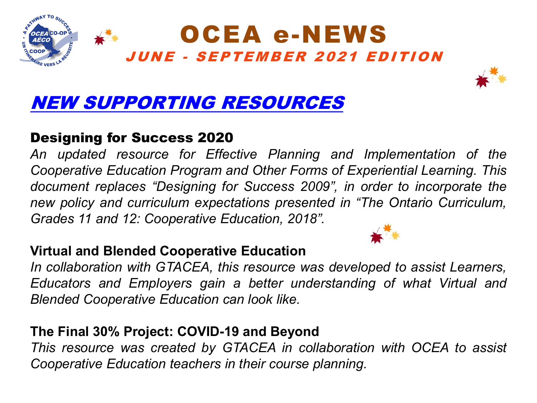



# NEW [SUPPORTING](https://ocea.on.ca/en/resources/teachers/new-supporting-resources/) RESOURCES

### Designing for Success 2020

*An updated resource for Effective Planning and Implementation of the Cooperative Education Program and Other Forms of Experiential Learning. This document replaces "Designing for Success 2009", in order to incorporate the new policy and curriculum expectations presented in "The Ontario Curriculum, Grades 11 and 12: Cooperative Education, 2018".*

#### **Virtual and Blended Cooperative Education**

*In collaboration with GTACEA, this resource was developed to assist Learners, Educators and Employers gain a better understanding of what Virtual and Blended Cooperative Education can look like.*

### **The Final 30% Project: COVID-19 and Beyond**

*This resource was created by GTACEA in collaboration with OCEA to assist Cooperative Education teachers in their course planning.*